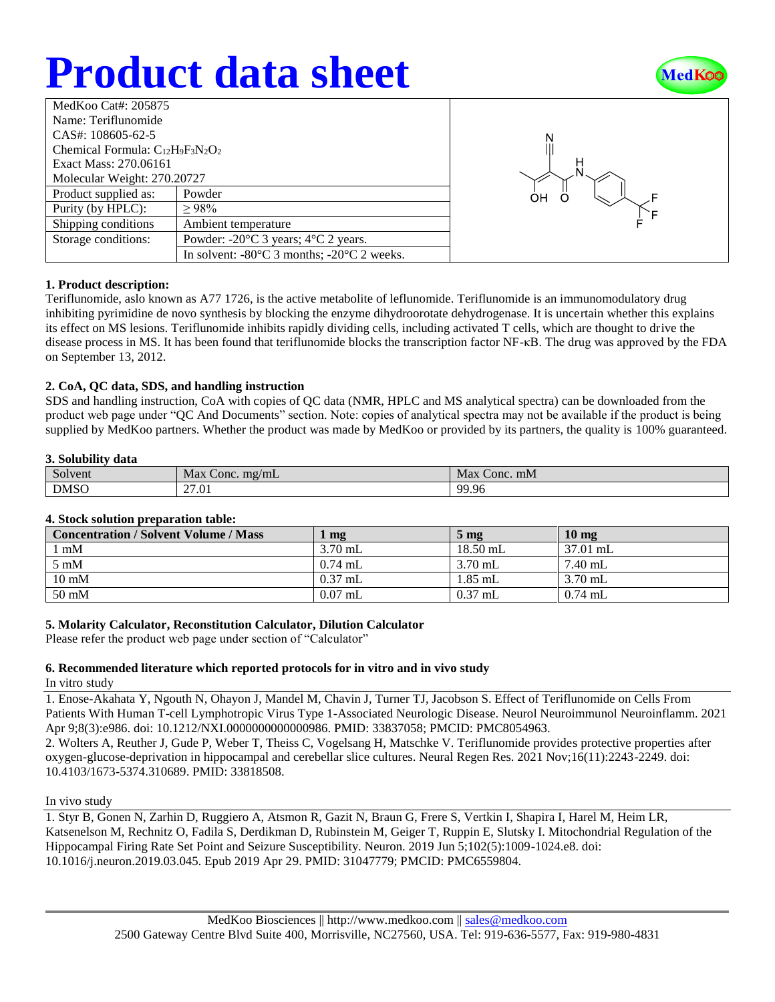# **Product data sheet**



| MedKoo Cat#: 205875                    |                                                                |  |  |  |
|----------------------------------------|----------------------------------------------------------------|--|--|--|
| Name: Teriflunomide                    |                                                                |  |  |  |
| $CAS_{1}: 108605 - 62 - 5$             |                                                                |  |  |  |
| Chemical Formula: $C_{12}H_9F_3N_2O_2$ |                                                                |  |  |  |
| Exact Mass: 270.06161                  |                                                                |  |  |  |
| Molecular Weight: 270.20727            |                                                                |  |  |  |
| Product supplied as:                   | Powder                                                         |  |  |  |
| Purity (by HPLC):                      | >98%                                                           |  |  |  |
| Shipping conditions                    | Ambient temperature                                            |  |  |  |
| Storage conditions:                    | Powder: $-20^{\circ}$ C 3 years; $4^{\circ}$ C 2 years.        |  |  |  |
|                                        | In solvent: $-80^{\circ}$ C 3 months; $-20^{\circ}$ C 2 weeks. |  |  |  |



#### **1. Product description:**

Teriflunomide, aslo known as A77 1726, is the active metabolite of leflunomide. Teriflunomide is an immunomodulatory drug inhibiting pyrimidine de novo synthesis by blocking the enzyme dihydroorotate dehydrogenase. It is uncertain whether this explains its effect on MS lesions. Teriflunomide inhibits rapidly dividing cells, including activated T cells, which are thought to drive the disease process in MS. It has been found that teriflunomide blocks the transcription factor NF-κB. The drug was approved by the FDA on September 13, 2012.

#### **2. CoA, QC data, SDS, and handling instruction**

SDS and handling instruction, CoA with copies of QC data (NMR, HPLC and MS analytical spectra) can be downloaded from the product web page under "QC And Documents" section. Note: copies of analytical spectra may not be available if the product is being supplied by MedKoo partners. Whether the product was made by MedKoo or provided by its partners, the quality is 100% guaranteed.

#### **3. Solubility data**

| $\sim$      | Max                | Max        |
|-------------|--------------------|------------|
| Solvent     | $\tau$ Conc. mg/mL | : Conc. mM |
| <b>DMSO</b> | 27.01              | 99.96      |

#### **4. Stock solution preparation table:**

| <b>Concentration / Solvent Volume / Mass</b> | mg        | $5 \text{ mg}$ | $10 \text{ mg}$ |
|----------------------------------------------|-----------|----------------|-----------------|
| l mM                                         | $3.70$ mL | $18.50$ mL     | 37.01 mL        |
| $5 \text{ mM}$                               | $0.74$ mL | $3.70$ mL      | 7.40 mL         |
| $10 \text{ mM}$                              | $0.37$ mL | $1.85$ mL      | $3.70$ mL       |
| $50 \text{ mM}$                              | $0.07$ mL | $0.37$ mL      | $0.74$ mL       |

#### **5. Molarity Calculator, Reconstitution Calculator, Dilution Calculator**

Please refer the product web page under section of "Calculator"

### **6. Recommended literature which reported protocols for in vitro and in vivo study**

#### In vitro study

1. Enose-Akahata Y, Ngouth N, Ohayon J, Mandel M, Chavin J, Turner TJ, Jacobson S. Effect of Teriflunomide on Cells From Patients With Human T-cell Lymphotropic Virus Type 1-Associated Neurologic Disease. Neurol Neuroimmunol Neuroinflamm. 2021 Apr 9;8(3):e986. doi: 10.1212/NXI.0000000000000986. PMID: 33837058; PMCID: PMC8054963.

2. Wolters A, Reuther J, Gude P, Weber T, Theiss C, Vogelsang H, Matschke V. Teriflunomide provides protective properties after oxygen-glucose-deprivation in hippocampal and cerebellar slice cultures. Neural Regen Res. 2021 Nov;16(11):2243-2249. doi: 10.4103/1673-5374.310689. PMID: 33818508.

#### In vivo study

1. Styr B, Gonen N, Zarhin D, Ruggiero A, Atsmon R, Gazit N, Braun G, Frere S, Vertkin I, Shapira I, Harel M, Heim LR, Katsenelson M, Rechnitz O, Fadila S, Derdikman D, Rubinstein M, Geiger T, Ruppin E, Slutsky I. Mitochondrial Regulation of the Hippocampal Firing Rate Set Point and Seizure Susceptibility. Neuron. 2019 Jun 5;102(5):1009-1024.e8. doi: 10.1016/j.neuron.2019.03.045. Epub 2019 Apr 29. PMID: 31047779; PMCID: PMC6559804.